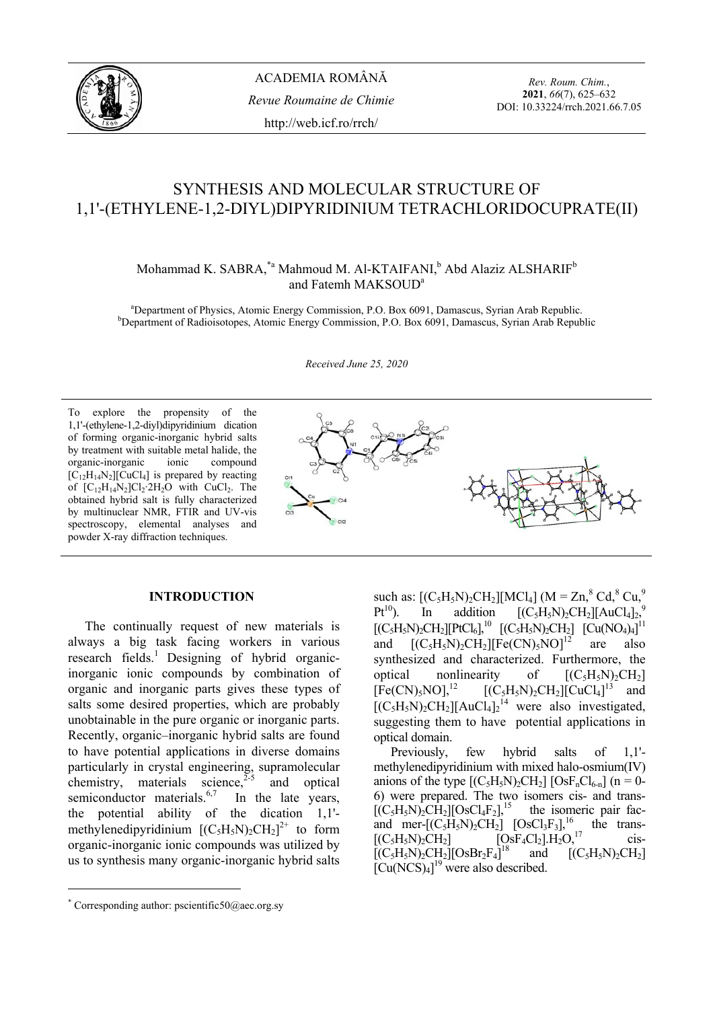

*Rev. Roum. Chim.*, **2021**, *66*(7), 625–632 DOI: 10.33224/rrch.2021.66.7.05

# SYNTHESIS AND MOLECULAR STRUCTURE OF 1,1'-(ETHYLENE-1,2-DIYL)DIPYRIDINIUM TETRACHLORIDOCUPRATE(II)

Mohammad K. SABRA, $^{*a}$  Mahmoud M. Al-KTAIFANI, $^{b}$  Abd Alaziz ALSHARIF $^{b}$ and Fatemh MAKSOUD<sup>a</sup>

<sup>a</sup> Department of Physics, Atomic Energy Commission, P.O. Box 6091, Damascus, Syrian Arab Republic.<br><sup>b</sup> Department of Pediaisotopes, Atomic Energy Commission, B.O. Box 6001, Damascus, Syrian Arab Republic. <sup>b</sup>Department of Radioisotopes, Atomic Energy Commission, P.O. Box 6091, Damascus, Syrian Arab Republic

*Received June 25, 2020* 

To explore the propensity of the 1,1'-(ethylene-1,2-diyl)dipyridinium dication of forming organic-inorganic hybrid salts by treatment with suitable metal halide, the organic-inorganic ionic compound  $[C_{12}H_{14}N_2][CuCl_4]$  is prepared by reacting of  $[C_{12}H_{14}N_2]Cl_2$  2H<sub>2</sub>O with CuCl<sub>2</sub>. The obtained hybrid salt is fully characterized by multinuclear NMR, FTIR and UV-vis spectroscopy, elemental analyses and powder X-ray diffraction techniques.



## **INTRODUCTION**

 The continually request of new materials is always a big task facing workers in various research fields.<sup>1</sup> Designing of hybrid organicinorganic ionic compounds by combination of organic and inorganic parts gives these types of salts some desired properties, which are probably unobtainable in the pure organic or inorganic parts. Recently, organic–inorganic hybrid salts are found to have potential applications in diverse domains particularly in crystal engineering, supramolecular chemistry, materials science, $2\overline{5}$  and optical semiconductor materials. $6,7$  In the late years, the potential ability of the dication 1,1' methylenedipyridinium  $[(C_5H_5N)_2CH_2]^{2+}$  to form organic-inorganic ionic compounds was utilized by us to synthesis many organic-inorganic hybrid salts

 $\overline{a}$ 

such as:  $[(C_5H_5N)_2CH_2][MCl_4]$  (M = Zn,<sup>8</sup> Cd,<sup>8</sup> Cu,<sup>9</sup>  $Pt^{10}$ ). In addition  $[(C_5H_5N)_2CH_2][AuCl_4]_2^9$  $[(C_5H_5N)_2CH_2][PtCl_6]$ ,<sup>10</sup>  $[(C_5H_5N)_2CH_2]$   $[Cu(NO_4)_4]$ <sup>11</sup> and  $[(C_5H_5N)_2CH_2][Fe(CN)_5NO]^{12}$  are also synthesized and characterized. Furthermore, the optical nonlinearity of  $[(C_5H_5N)_2CH_2]$ <br> $[Fe(CN)_5NO]$ ,<sup>12</sup>  $[(C_5H_5N)_2CH_2]$ [CuCl<sub>4</sub>]<sup>13</sup> and  $[Fe(CN)_5NO]$ ,<sup>12</sup>  $[ (C_5H_5N)_2CH_2][CuCl_4]$ <sup>13</sup> and  $[(C_5H_5N)_2CH_2][AuCl_4]_2^{14}$  were also investigated, suggesting them to have potential applications in optical domain.

Previously, few hybrid salts of 1,1' methylenedipyridinium with mixed halo-osmium(IV) anions of the type  $[(C_5H_5N)_2CH_2]$   $[OsF_nCl_{6-n}]$  (n = 0-6) were prepared. The two isomers cis- and trans-  $[(C_5H_5N)_2CH_2][OsCl_4F_2]$ <sup>15</sup> the isomeric pair fac-<br>and mer- $[(C_5H_5N)_2CH_2]$   $[OsCl_3F_3]$ <sup>16</sup> the transand mer- $[(C_5H_5N)_2CH_2]$   $[OsCl_3F_3]$ ,<sup>16</sup><br> $[(C_5H_5N)_2CH_2]$   $[OsF_4Cl_2]$ .H<sub>2</sub>O,<sup>17</sup>  $[OsF<sub>4</sub>Cl<sub>2</sub>]<sub>H<sub>2</sub>O<sub>2</sub><sup>17</sup></sub>$  cis- $[(C_5H_5N)_2CH_2][O_5Br_2F_4]^{18}$  and  $[(C<sub>5</sub>H<sub>5</sub>N)<sub>2</sub>CH<sub>2</sub>]$  $\left[\text{Cu}(\text{NCS})_4\right]^{19}$  were also described.

<sup>\*</sup> Corresponding author: pscientific50@aec.org.sy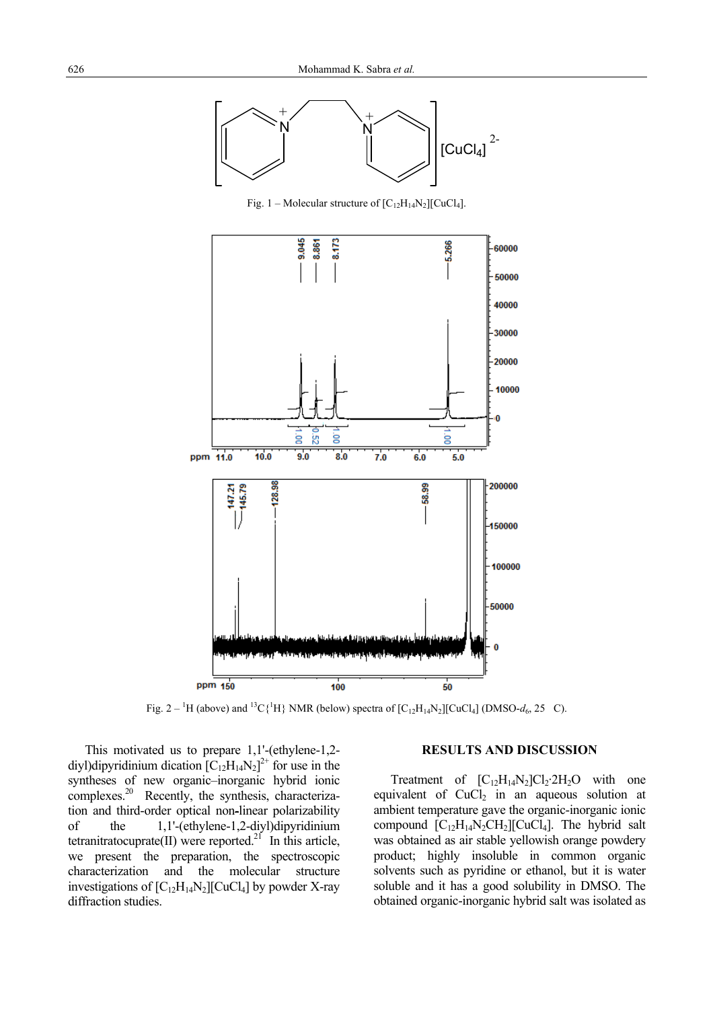

Fig. 1 – Molecular structure of  $[C_{12}H_{14}N_2][CuCl_4]$ .



Fig.  $2 - {}^{1}H$  (above) and  ${}^{13}C({}^{1}H)$  NMR (below) spectra of  $[C_{12}H_{14}N_2][CuCl_4]$  (DMSO- $d_6$ , 25 C).

This motivated us to prepare 1,1'-(ethylene-1,2 diyl)dipyridinium dication  $[C_{12}H_{14}N_2]^{2+}$  for use in the syntheses of new organic–inorganic hybrid ionic complexes.20 Recently, the synthesis, characterization and third-order optical non-linear polarizability of the 1,1'-(ethylene-1,2-diyl)dipyridinium tetranitratocuprate(II) were reported.<sup>21</sup> In this article, we present the preparation, the spectroscopic characterization and the molecular structure investigations of  $[C_{12}H_{14}N_2][CuCl_4]$  by powder X-ray diffraction studies.

### **RESULTS AND DISCUSSION**

Treatment of  $[C_{12}H_{14}N_2]C_1C_2^2H_2O$  with one equivalent of  $CuCl<sub>2</sub>$  in an aqueous solution at ambient temperature gave the organic-inorganic ionic compound  $[C_{12}H_{14}N_2CH_2][CuCl_4]$ . The hybrid salt was obtained as air stable yellowish orange powdery product; highly insoluble in common organic solvents such as pyridine or ethanol, but it is water soluble and it has a good solubility in DMSO. The obtained organic-inorganic hybrid salt was isolated as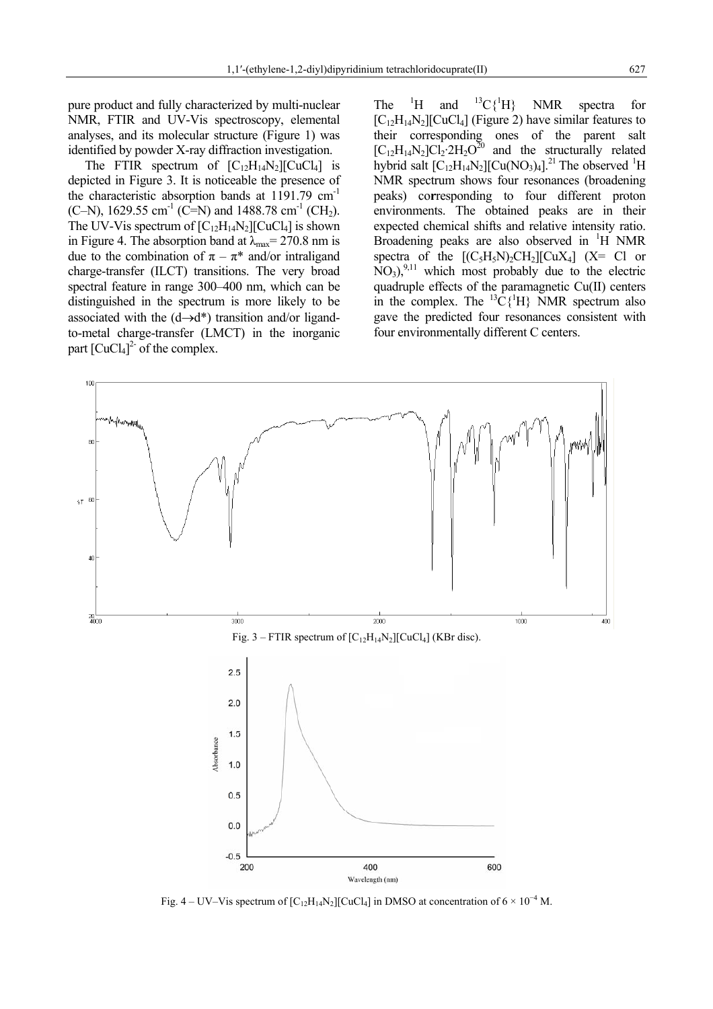pure product and fully characterized by multi-nuclear NMR, FTIR and UV-Vis spectroscopy, elemental analyses, and its molecular structure (Figure 1) was identified by powder X-ray diffraction investigation.

The FTIR spectrum of  $[C_{12}H_{14}N_2][CuCl_4]$  is depicted in Figure 3. It is noticeable the presence of the characteristic absorption bands at 1191.79 cm-1 (C–N), 1629.55 cm<sup>-1</sup> (C=N) and 1488.78 cm<sup>-1</sup> (CH<sub>2</sub>). The UV-Vis spectrum of  $[C_{12}H_{14}N_2][CuCl_4]$  is shown in Figure 4. The absorption band at  $\lambda_{\text{max}}$  = 270.8 nm is due to the combination of  $\pi - \pi^*$  and/or intraligand charge-transfer (ILCT) transitions. The very broad spectral feature in range 300–400 nm, which can be distinguished in the spectrum is more likely to be associated with the  $(d \rightarrow d^*)$  transition and/or ligandto-metal charge-transfer (LMCT) in the inorganic part  $\left[\text{CuCl}_4\right]^2$  of the complex.

The  ${}^{1}H$ and  ${}^{13}C\{{}^{1}H\}$ NMR spectra for  $[C_{12}H_{14}N_2][CuCl_4]$  (Figure 2) have similar features to their corresponding ones of the parent salt  $[C_{12}H_{14}N_2]Cl_2.2H_2O^{20}$  and the structurally related hybrid salt  $[C_{12}H_{14}N_2][Cu(NO_3)_4]$ .<sup>21</sup> The observed <sup>1</sup>H NMR spectrum shows four resonances (broadening peaks) co**r**responding to four different proton environments. The obtained peaks are in their expected chemical shifts and relative intensity ratio. Broadening peaks are also observed in <sup>1</sup>H NMR spectra of the  $[(C_5H_5N)_2CH_2][CuX_4]$  (X= Cl or  $NO<sub>3</sub>$ <sup>9,11</sup> which most probably due to the electric quadruple effects of the paramagnetic Cu(II) centers in the complex. The  ${}^{13}C\{^1H\}$  NMR spectrum also gave the predicted four resonances consistent with four environmentally different C centers.



Fig. 4 – UV–Vis spectrum of  $[C_{12}H_{14}N_2][CuCl_4]$  in DMSO at concentration of 6 × 10<sup>-4</sup> M.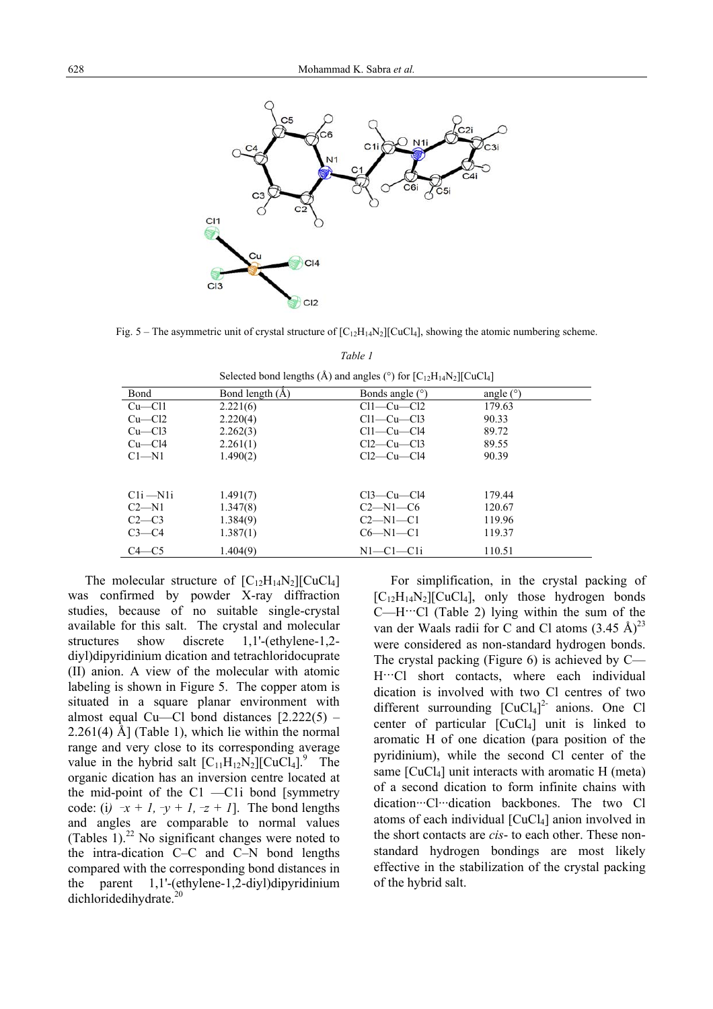

Fig. 5 – The asymmetric unit of crystal structure of  $[C_{12}H_{14}N_2][CuCl_4]$ , showing the atomic numbering scheme.

|              | $\frac{1}{2}$ $\frac{1}{2}$ $\frac{1}{2}$ $\frac{1}{2}$ $\frac{1}{2}$ $\frac{1}{2}$ $\frac{1}{2}$ $\frac{1}{2}$ $\frac{1}{2}$ $\frac{1}{2}$ $\frac{1}{2}$ $\frac{1}{2}$ $\frac{1}{2}$ $\frac{1}{2}$ $\frac{1}{2}$ $\frac{1}{2}$ $\frac{1}{2}$ $\frac{1}{2}$ $\frac{1}{2}$ $\frac{1}{2}$ $\frac{1}{2}$ $\frac{1}{2}$ |                   |             |
|--------------|---------------------------------------------------------------------------------------------------------------------------------------------------------------------------------------------------------------------------------------------------------------------------------------------------------------------|-------------------|-------------|
| Bond         | Bond length $(\AA)$                                                                                                                                                                                                                                                                                                 | Bonds angle $(°)$ | angle $(°)$ |
| $Cu$ — $Cl1$ | 2.221(6)                                                                                                                                                                                                                                                                                                            | $Cl1-Cu-Cl2$      | 179.63      |
| $Cu$ — $Cl2$ | 2.220(4)                                                                                                                                                                                                                                                                                                            | $Cl1-Cu-Cl3$      | 90.33       |
| $Cu$ — $Cl3$ | 2.262(3)                                                                                                                                                                                                                                                                                                            | $Cl1-Cu-C14$      | 89.72       |
| $Cu$ — $Cl4$ | 2.261(1)                                                                                                                                                                                                                                                                                                            | $Cl2-Cu-Cl3$      | 89.55       |
| $C1 - N1$    | 1.490(2)                                                                                                                                                                                                                                                                                                            | $Cl2-Cu-C14$      | 90.39       |
|              |                                                                                                                                                                                                                                                                                                                     |                   |             |
|              |                                                                                                                                                                                                                                                                                                                     |                   |             |
| $Cli$ $-N1i$ | 1.491(7)                                                                                                                                                                                                                                                                                                            | $Cl3-Cu-Cl4$      | 179.44      |
| $C2-N1$      | 1.347(8)                                                                                                                                                                                                                                                                                                            | $C2-M1-C6$        | 120.67      |
| $C2-C3$      | 1.384(9)                                                                                                                                                                                                                                                                                                            | $C2-M1-C1$        | 119.96      |
| $C3-C4$      | 1.387(1)                                                                                                                                                                                                                                                                                                            | $C6-M1-C1$        | 119.37      |
| $C4 - C5$    | 1.404(9)                                                                                                                                                                                                                                                                                                            | $N1-C1-C1i$       | 110.51      |

*Table 1* Selected bond lengths  $(\hat{A})$  and angles  $(^{\circ})$  for  $IC_{12}H_{14}N_{2}IC_{11}Cl_{4}$ 

The molecular structure of  $[C_{12}H_{14}N_2][CuCl_4]$ was confirmed by powder X-ray diffraction studies, because of no suitable single-crystal available for this salt. The crystal and molecular structures show discrete 1,1'-(ethylene-1,2 diyl)dipyridinium dication and tetrachloridocuprate (II) anion. A view of the molecular with atomic labeling is shown in Figure 5. The copper atom is situated in a square planar environment with almost equal Cu—Cl bond distances  $[2.222(5) -$ 2.261(4) Å] (Table 1), which lie within the normal range and very close to its corresponding average value in the hybrid salt  $[C_{11}H_{12}N_2][CuCl_4]^9$ . The organic dication has an inversion centre located at the mid-point of the C1 —C1i bond [symmetry code: (i)  $\bar{x} + I$ ,  $\bar{y} + I$ ,  $\bar{z} + I$ . The bond lengths and angles are comparable to normal values (Tables  $1$ ).<sup>22</sup> No significant changes were noted to the intra-dication C–C and C–N bond lengths compared with the corresponding bond distances in the parent 1,1'-(ethylene-1,2-diyl)dipyridinium dichloridedihydrate.<sup>20</sup>

For simplification, in the crystal packing of  $[C_{12}H_{14}N_2][CuCl_4]$ , only those hydrogen bonds  $C$ —H… $C$ l (Table 2) lying within the sum of the van der Waals radii for C and Cl atoms  $(3.45 \text{ Å})^{23}$ were considered as non-standard hydrogen bonds. The crystal packing (Figure 6) is achieved by C— H····Cl short contacts, where each individual dication is involved with two Cl centres of two different surrounding  $[CuCl<sub>4</sub>]<sup>2</sup>$  anions. One Cl center of particular  $\lbrack CuCl_4 \rbrack$  unit is linked to aromatic H of one dication (para position of the pyridinium), while the second Cl center of the same  $\lceil CuCl_4 \rceil$  unit interacts with aromatic H (meta) of a second dication to form infinite chains with dication···Cl···dication backbones. The two Cl atoms of each individual  $[CuCl<sub>4</sub>]$  anion involved in the short contacts are *cis*- to each other. These nonstandard hydrogen bondings are most likely effective in the stabilization of the crystal packing of the hybrid salt.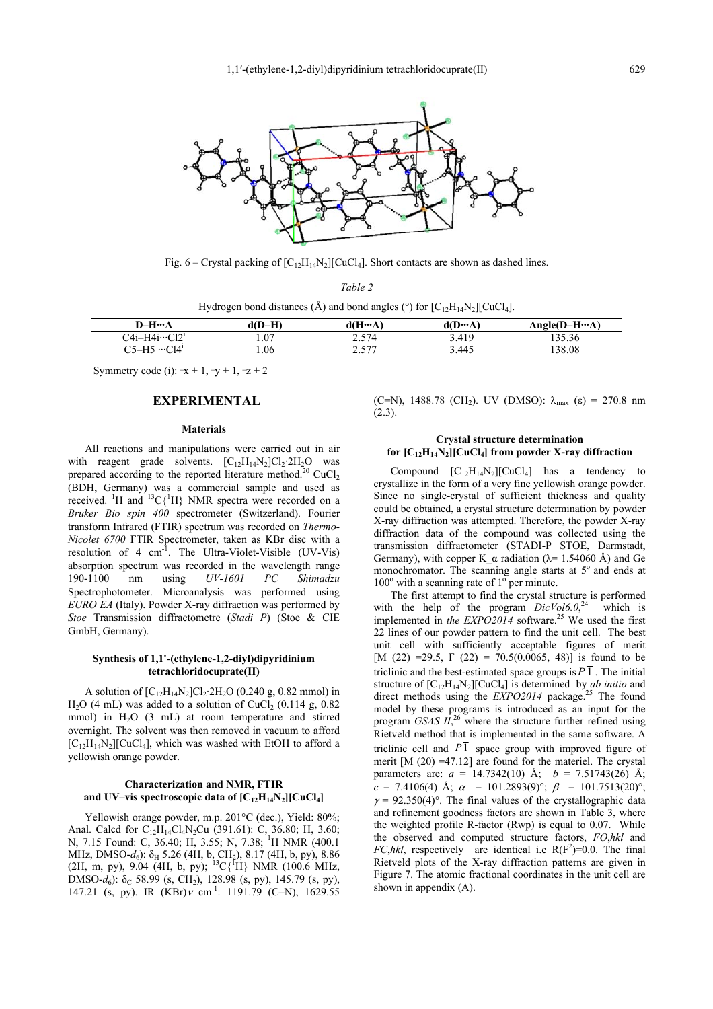

Fig. 6 – Crystal packing of  $[C_{12}H_{14}N_2][CuCl_4]$ . Short contacts are shown as dashed lines. *Table 2*

| Hydrogen bond distances (Å) and bond angles ( $\degree$ ) for $[C_{12}H_{14}N_2][CuCl_4]$ . |        |        |                 |               |
|---------------------------------------------------------------------------------------------|--------|--------|-----------------|---------------|
| $D-H\cdots A$                                                                               | d(D–H) | d(H…A) | $d(D \cdots A)$ | $Angle(D-HA)$ |
| $C4i-H4i\cdots C12^i$                                                                       | .07    | 2.574  | 3.419           | 135.36        |
| $C5-H5 \cdots C14$                                                                          | .06    | 2.577  | 3.445           | 138.08        |

Symmetry code (i):  $-x + 1$ ,  $-y + 1$ ,  $-z + 2$ 

## **EXPERIMENTAL**

#### **Materials**

All reactions and manipulations were carried out in air with reagent grade solvents.  $[C_{12}H_{14}N_2]Cl_2.2H_2O$  was prepared according to the reported literature method.<sup>20</sup> CuCl<sub>2</sub> (BDH, Germany) was a commercial sample and used as received. <sup>1</sup>H and <sup>13</sup>C{<sup>1</sup>H} NMR spectra were recorded on a *Bruker Bio spin 400* spectrometer (Switzerland). Fourier transform Infrared (FTIR) spectrum was recorded on *Thermo-Nicolet 6700* FTIR Spectrometer, taken as KBr disc with a resolution of 4  $cm^{-1}$ . The Ultra-Violet-Visible (UV-Vis) absorption spectrum was recorded in the wavelength range 190-1100 nm using *UV-1601 PC Shimadzu* Spectrophotometer. Microanalysis was performed using *EURO EA* (Italy). Powder X-ray diffraction was performed by *Stoe* Transmission diffractometre (*Stadi P*) (Stoe & CIE GmbH, Germany).

#### **Synthesis of 1,1'-(ethylene-1,2-diyl)dipyridinium tetrachloridocuprate(II)**

A solution of  $[C_{12}H_{14}N_2]Cl_2.2H_2O$  (0.240 g, 0.82 mmol) in  $H<sub>2</sub>O$  (4 mL) was added to a solution of CuCl<sub>2</sub> (0.114 g, 0.82) mmol) in  $H<sub>2</sub>O$  (3 mL) at room temperature and stirred overnight. The solvent was then removed in vacuum to afford  $[C_{12}H_{14}N_2][CuCl_4]$ , which was washed with EtOH to afford a yellowish orange powder.

#### **Characterization and NMR, FTIR**  and UV–vis spectroscopic data of  $[C_{12}H_{14}N_2][CuCl_4]$

 Yellowish orange powder, m.p. 201°C (dec.), Yield: 80%; Anal. Calcd for C<sub>12</sub>H<sub>14</sub>Cl<sub>4</sub>N<sub>2</sub>Cu (391.61): C, 36.80; H, 3.60; N, 7.15 Found: C, 36.40; H, 3.55; N, 7.38; <sup>1</sup>H NMR (400.1) MHz, DMSO-d<sub>6</sub>): δ<sub>H</sub> 5.26 (4H, b, CH<sub>2</sub>), 8.17 (4H, b, py), 8.86 (2H, m, py), 9.04 (4H, b, py); <sup>13</sup>C{<sup>1</sup>H} NMR (100.6 MHz, DMSO-*d*<sub>6</sub>): δ<sub>C</sub> 58.99 (s, CH<sub>2</sub>), 128.98 (s, py), 145.79 (s, py), 147.21 (s, py). IR  $(KBr)\nu$  cm<sup>-1</sup>: 1191.79 (C–N), 1629.55

(C=N), 1488.78 (CH<sub>2</sub>). UV (DMSO):  $\lambda_{\text{max}}$  (ε) = 270.8 nm (2.3).

#### **Crystal structure determination for [C12H14N2][CuCl4] from powder X-ray diffraction**

Compound  $[C_{12}H_{14}N_2][CuCl_4]$  has a tendency to crystallize in the form of a very fine yellowish orange powder. Since no single-crystal of sufficient thickness and quality could be obtained, a crystal structure determination by powder X-ray diffraction was attempted. Therefore, the powder X-ray diffraction data of the compound was collected using the transmission diffractometer (STADI-P STOE, Darmstadt, Germany), with copper K  $\alpha$  radiation ( $\lambda$ = 1.54060 Å) and Ge monochromator. The scanning angle starts at  $5^\circ$  and ends at  $100^{\circ}$  with a scanning rate of  $1^{\circ}$  per minute.

The first attempt to find the crystal structure is performed with the help of the program  $DicVol6.0,^{24}$  which is implemented in *the EXPO2014* software.<sup>25</sup> We used the first 22 lines of our powder pattern to find the unit cell. The best unit cell with sufficiently acceptable figures of merit [M (22) =29.5, F (22) = 70.5(0.0065, 48)] is found to be triclinic and the best-estimated space groups is  $P\overline{1}$ . The initial structure of  $[C_{12}H_{14}N_2][CuCl_4]$  is determined by *ab initio* and direct methods using the *EXPO2014* package.<sup>25</sup> The found model by these programs is introduced as an input for the program *GSAS*  $II$ <sup>26</sup>, where the structure further refined using Rietveld method that is implemented in the same software. A triclinic cell and  $P\bar{1}$  space group with improved figure of merit  $[M (20) = 47.12]$  are found for the materiel. The crystal parameters are: *a* = 14.7342(10) Å; *b* = 7.51743(26) Å;  $c = 7.4106(4)$  Å;  $\alpha = 101.2893(9)$ °;  $\beta = 101.7513(20)$ °;  $\gamma = 92.350(4)$ °. The final values of the crystallographic data and refinement goodness factors are shown in Table 3, where the weighted profile R-factor (Rwp) is equal to 0.07. While the observed and computed structure factors, *FO*,*hkl* and *FC,hkl*, respectively are identical i.e  $R(F^2)=0.0$ . The final Rietveld plots of the X-ray diffraction patterns are given in Figure 7. The atomic fractional coordinates in the unit cell are shown in appendix (A).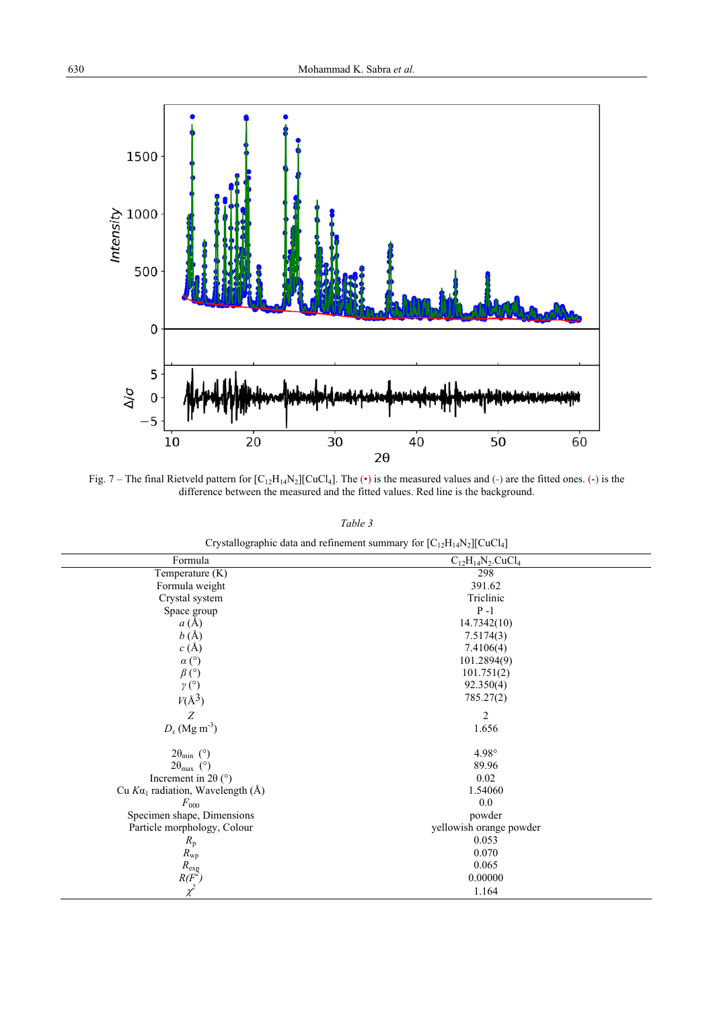

Fig. 7 – The final Rietveld pattern for  $[C_{12}H_{14}N_2][CuCl_4]$ . The (•) is the measured values and (-) are the fitted ones. (-) is the difference between the measured and the fitted values. Red line is the background.

*Table 3*

| $C_{12}H_{14}N_2.CuCl_4$<br>298 |                                                              |
|---------------------------------|--------------------------------------------------------------|
|                                 |                                                              |
|                                 |                                                              |
|                                 |                                                              |
| Triclinic                       |                                                              |
| $P - 1$                         |                                                              |
| 14.7342(10)                     |                                                              |
| 7.5174(3)                       |                                                              |
| 7.4106(4)                       |                                                              |
| 101.2894(9)                     |                                                              |
| 101.751(2)                      |                                                              |
| 92.350(4)                       |                                                              |
| 785.27(2)                       |                                                              |
|                                 |                                                              |
| 1.656                           |                                                              |
| 4.98°                           |                                                              |
|                                 |                                                              |
| 0.02                            |                                                              |
| 1.54060                         |                                                              |
| 0.0                             |                                                              |
| powder                          |                                                              |
|                                 |                                                              |
| 0.053                           |                                                              |
| 0.070                           |                                                              |
| 0.065                           |                                                              |
| 0.00000                         |                                                              |
| 1.164                           |                                                              |
|                                 | 391.62<br>$\mathfrak{2}$<br>89.96<br>yellowish orange powder |

Crystallographic data and refinement summary for  $[C_{12}H_{14}N_2][CuCl_4]$ 

 $\overline{a}$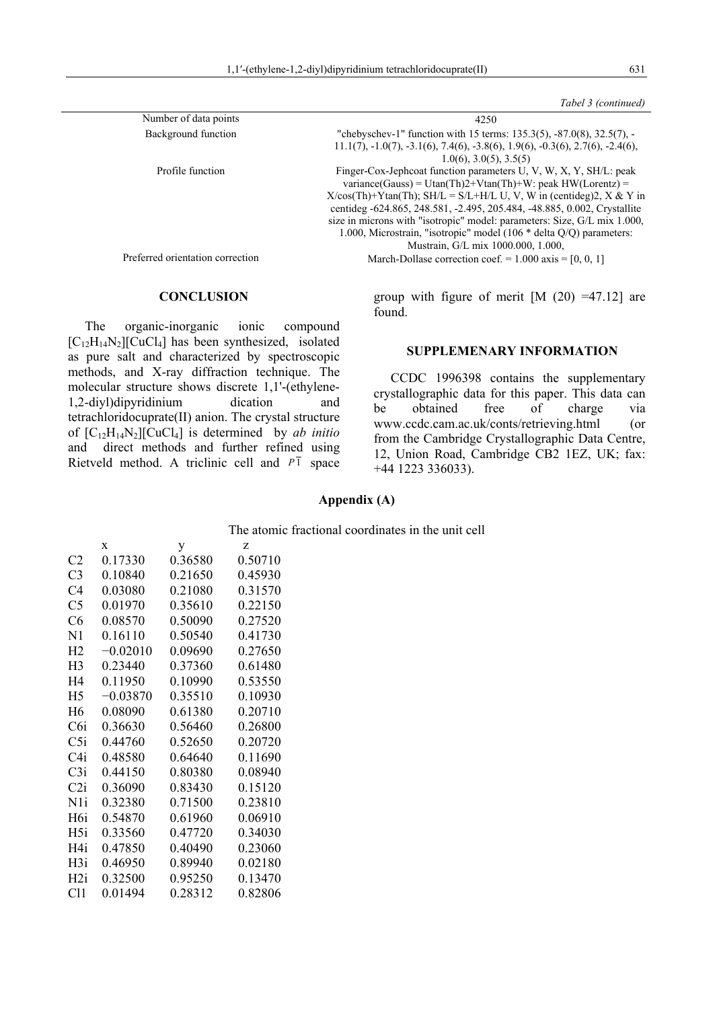|                                  | Tabel 3 (continued)                                                                                                                                                                                                                                                                                                                                                                                                                                                                |
|----------------------------------|------------------------------------------------------------------------------------------------------------------------------------------------------------------------------------------------------------------------------------------------------------------------------------------------------------------------------------------------------------------------------------------------------------------------------------------------------------------------------------|
| Number of data points            | 4250                                                                                                                                                                                                                                                                                                                                                                                                                                                                               |
| Background function              | "chebyschev-1" function with 15 terms: $135.3(5)$ , $-87.0(8)$ , $32.5(7)$ , $-$<br>$11.1(7), -1.0(7), -3.1(6), 7.4(6), -3.8(6), 1.9(6), -0.3(6), 2.7(6), -2.4(6),$<br>$1.0(6)$ , $3.0(5)$ , $3.5(5)$                                                                                                                                                                                                                                                                              |
| Profile function                 | Finger-Cox-Jephcoat function parameters U, V, W, X, Y, SH/L: peak<br>variance(Gauss) = Utan(Th)2+Vtan(Th)+W: peak $HW(Lorentz)$ =<br>$X/cos(Th)+Ytan(Th)$ ; SH/L = S/L+H/L U, V, W in (centideg)2, X & Y in<br>centideg -624.865, 248.581, -2.495, 205.484, -48.885, 0.002, Crystallite<br>size in microns with "isotropic" model: parameters: Size, G/L mix 1.000,<br>1.000, Microstrain, "isotropic" model (106 $*$ delta Q/Q) parameters:<br>Mustrain, G/L mix 1000.000, 1.000, |
| Preferred orientation correction | March-Dollase correction coef. = $1.000$ axis = [0, 0, 1]                                                                                                                                                                                                                                                                                                                                                                                                                          |

## **CONCLUSION**

The organic-inorganic ionic compound  $[C_{12}H_{14}N_2][CuCl_4]$  has been synthesized, isolated as pure salt and characterized by spectroscopic methods, and X-ray diffraction technique. The molecular structure shows discrete 1,1'-(ethylene-1,2-diyl)dipyridinium dication and tetrachloridocuprate(II) anion. The crystal structure of  $[C_{12}H_{14}N_2][\text{CuCl}_4]$  is determined by *ab initio* and direct methods and further refined using Rietveld method. A triclinic cell and  $P\bar{1}$  space group with figure of merit  $[M (20) =47.12]$  are found.

## **SUPPLEMENARY INFORMATION**

 CCDC 1996398 contains the supplementary crystallographic data for this paper. This data can be obtained free of charge via www.ccdc.cam.ac.uk/conts/retrieving.html (or from the Cambridge Crystallographic Data Centre, 12, Union Road, Cambridge CB2 1EZ, UK; fax: +44 1223 336033).

## **Appendix (A)**

The atomic fractional coordinates in the unit cell

|                  | $\mathbf x$ | у       | Z       |
|------------------|-------------|---------|---------|
| C <sub>2</sub>   | 0.17330     | 0.36580 | 0.50710 |
| C <sub>3</sub>   | 0.10840     | 0.21650 | 0.45930 |
| C4               | 0.03080     | 0.21080 | 0.31570 |
| C <sub>5</sub>   | 0.01970     | 0.35610 | 0.22150 |
| C6               | 0.08570     | 0.50090 | 0.27520 |
| N1               | 0.16110     | 0.50540 | 0.41730 |
| H <sub>2</sub>   | $-0.02010$  | 0.09690 | 0.27650 |
| H <sub>3</sub>   | 0.23440     | 0.37360 | 0.61480 |
| H4               | 0.11950     | 0.10990 | 0.53550 |
| H <sub>5</sub>   | $-0.03870$  | 0.35510 | 0.10930 |
| H <sub>6</sub>   | 0.08090     | 0.61380 | 0.20710 |
| C6i              | 0.36630     | 0.56460 | 0.26800 |
| C5i              | 0.44760     | 0.52650 | 0.20720 |
| C4i              | 0.48580     | 0.64640 | 0.11690 |
| C3i              | 0.44150     | 0.80380 | 0.08940 |
| C2i              | 0.36090     | 0.83430 | 0.15120 |
| N <sub>1</sub>   | 0.32380     | 0.71500 | 0.23810 |
| H <sub>6</sub> i | 0.54870     | 0.61960 | 0.06910 |
| H <sub>5i</sub>  | 0.33560     | 0.47720 | 0.34030 |
| H4i              | 0.47850     | 0.40490 | 0.23060 |
| H <sub>3</sub> i | 0.46950     | 0.89940 | 0.02180 |
| H2i              | 0.32500     | 0.95250 | 0.13470 |
| Cl1              | 0.01494     | 0.28312 | 0.82806 |